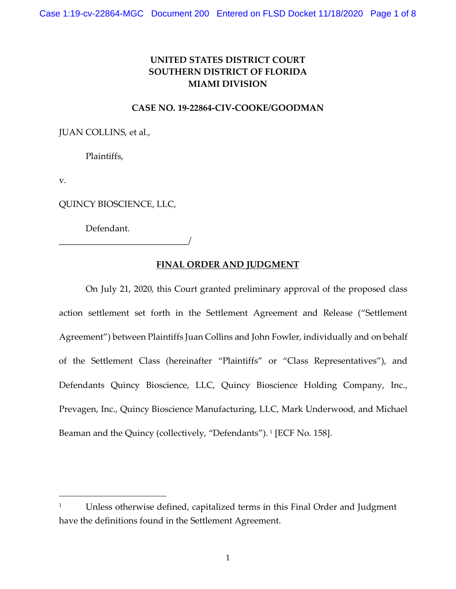## **UNITED STATES DISTRICT COURT SOUTHERN DISTRICT OF FLORIDA MIAMI DIVISION**

## **CASE NO. 19-22864-CIV-COOKE/GOODMAN**

JUAN COLLINS, et al.,

Plaintiffs,

v.

QUINCY BIOSCIENCE, LLC,

\_\_\_\_\_\_\_\_\_\_\_\_\_\_\_\_\_\_\_\_\_\_\_\_\_\_\_\_\_/

Defendant.

## **FINAL ORDER AND JUDGMENT**

On July 21, 2020, this Court granted preliminary approval of the proposed class action settlement set forth in the Settlement Agreement and Release ("Settlement Agreement") between Plaintiffs Juan Collins and John Fowler, individually and on behalf of the Settlement Class (hereinafter "Plaintiffs" or "Class Representatives"), and Defendants Quincy Bioscience, LLC, Quincy Bioscience Holding Company, Inc., Prevagen, Inc., Quincy Bioscience Manufacturing, LLC, Mark Underwood, and Michael Beaman and the Quincy (collectively, "Defendants").<sup>[1](#page-0-0)</sup> [ECF No. 158].

<span id="page-0-0"></span><sup>&</sup>lt;sup>1</sup> Unless otherwise defined, capitalized terms in this Final Order and Judgment have the definitions found in the Settlement Agreement.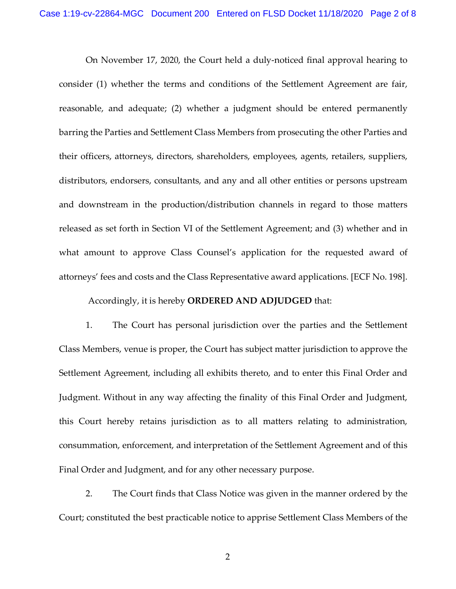On November 17, 2020, the Court held a duly-noticed final approval hearing to consider (1) whether the terms and conditions of the Settlement Agreement are fair, reasonable, and adequate; (2) whether a judgment should be entered permanently barring the Parties and Settlement Class Members from prosecuting the other Parties and their officers, attorneys, directors, shareholders, employees, agents, retailers, suppliers, distributors, endorsers, consultants, and any and all other entities or persons upstream and downstream in the production/distribution channels in regard to those matters released as set forth in Section VI of the Settlement Agreement; and (3) whether and in what amount to approve Class Counsel's application for the requested award of attorneys' fees and costs and the Class Representative award applications. [ECF No. 198].

Accordingly, it is hereby **ORDERED AND ADJUDGED** that:

1. The Court has personal jurisdiction over the parties and the Settlement Class Members, venue is proper, the Court has subject matter jurisdiction to approve the Settlement Agreement, including all exhibits thereto, and to enter this Final Order and Judgment. Without in any way affecting the finality of this Final Order and Judgment, this Court hereby retains jurisdiction as to all matters relating to administration, consummation, enforcement, and interpretation of the Settlement Agreement and of this Final Order and Judgment, and for any other necessary purpose.

2. The Court finds that Class Notice was given in the manner ordered by the Court; constituted the best practicable notice to apprise Settlement Class Members of the

2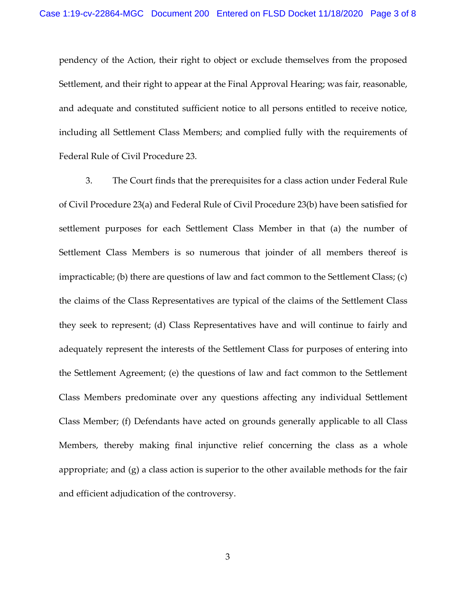pendency of the Action, their right to object or exclude themselves from the proposed Settlement, and their right to appear at the Final Approval Hearing; was fair, reasonable, and adequate and constituted sufficient notice to all persons entitled to receive notice, including all Settlement Class Members; and complied fully with the requirements of Federal Rule of Civil Procedure 23.

3. The Court finds that the prerequisites for a class action under Federal Rule of Civil Procedure 23(a) and Federal Rule of Civil Procedure 23(b) have been satisfied for settlement purposes for each Settlement Class Member in that (a) the number of Settlement Class Members is so numerous that joinder of all members thereof is impracticable; (b) there are questions of law and fact common to the Settlement Class; (c) the claims of the Class Representatives are typical of the claims of the Settlement Class they seek to represent; (d) Class Representatives have and will continue to fairly and adequately represent the interests of the Settlement Class for purposes of entering into the Settlement Agreement; (e) the questions of law and fact common to the Settlement Class Members predominate over any questions affecting any individual Settlement Class Member; (f) Defendants have acted on grounds generally applicable to all Class Members, thereby making final injunctive relief concerning the class as a whole appropriate; and (g) a class action is superior to the other available methods for the fair and efficient adjudication of the controversy.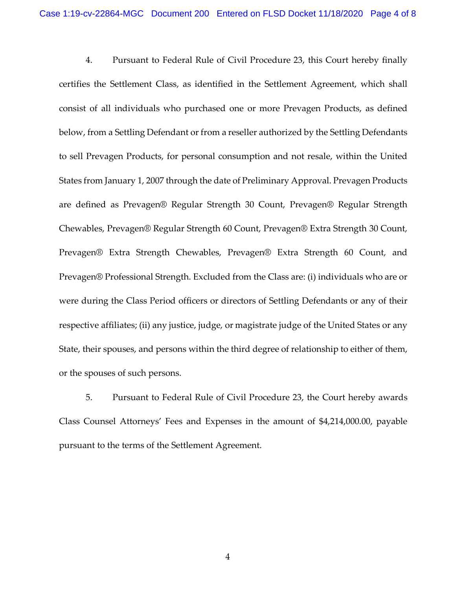4. Pursuant to Federal Rule of Civil Procedure 23, this Court hereby finally certifies the Settlement Class, as identified in the Settlement Agreement, which shall consist of all individuals who purchased one or more Prevagen Products, as defined below, from a Settling Defendant or from a reseller authorized by the Settling Defendants to sell Prevagen Products, for personal consumption and not resale, within the United States from January 1, 2007 through the date of Preliminary Approval. Prevagen Products are defined as Prevagen® Regular Strength 30 Count, Prevagen® Regular Strength Chewables, Prevagen® Regular Strength 60 Count, Prevagen® Extra Strength 30 Count, Prevagen® Extra Strength Chewables, Prevagen® Extra Strength 60 Count, and Prevagen® Professional Strength. Excluded from the Class are: (i) individuals who are or were during the Class Period officers or directors of Settling Defendants or any of their respective affiliates; (ii) any justice, judge, or magistrate judge of the United States or any State, their spouses, and persons within the third degree of relationship to either of them, or the spouses of such persons.

5. Pursuant to Federal Rule of Civil Procedure 23, the Court hereby awards Class Counsel Attorneys' Fees and Expenses in the amount of \$4,214,000.00, payable pursuant to the terms of the Settlement Agreement.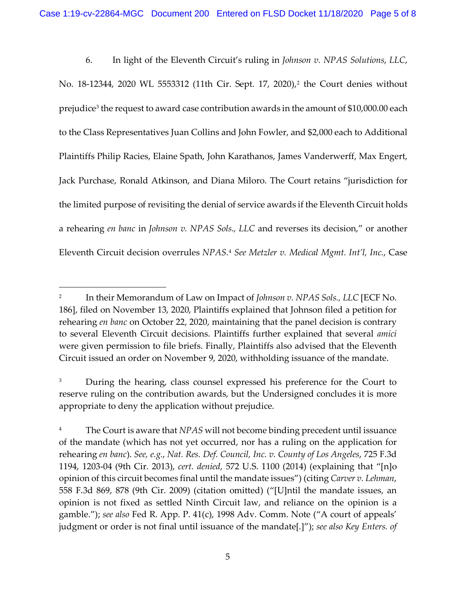6. In light of the Eleventh Circuit's ruling in *Johnson v. NPAS Solutions*, *LLC*, No. 18-1[2](#page-4-0)344, 2020 WL 5553312 (11th Cir. Sept. 17, 2020),<sup>2</sup> the Court denies without prejudice<sup>3</sup> the request to award case contribution awards in the amount of \$10,000.00 each to the Class Representatives Juan Collins and John Fowler, and \$2,000 each to Additional Plaintiffs Philip Racies, Elaine Spath, John Karathanos, James Vanderwerff, Max Engert, Jack Purchase, Ronald Atkinson, and Diana Miloro. The Court retains "jurisdiction for the limited purpose of revisiting the denial of service awards if the Eleventh Circuit holds a rehearing *en banc* in *Johnson v. NPAS Sols., LLC* and reverses its decision," or another Eleventh Circuit decision overrules *NPAS*. [4](#page-4-2) *See Metzler v. Medical Mgmt. Int'l, Inc.*, Case

<span id="page-4-0"></span><sup>2</sup> In their Memorandum of Law on Impact of *Johnson v. NPAS Sols., LLC* [ECF No. 186], filed on November 13, 2020, Plaintiffs explained that Johnson filed a petition for rehearing *en banc* on October 22, 2020, maintaining that the panel decision is contrary to several Eleventh Circuit decisions. Plaintiffs further explained that several *amici*  were given permission to file briefs. Finally, Plaintiffs also advised that the Eleventh Circuit issued an order on November 9, 2020, withholding issuance of the mandate.

<span id="page-4-1"></span><sup>&</sup>lt;sup>3</sup> During the hearing, class counsel expressed his preference for the Court to reserve ruling on the contribution awards, but the Undersigned concludes it is more appropriate to deny the application without prejudice.

<span id="page-4-2"></span><sup>&</sup>lt;sup>4</sup> The Court is aware that *NPAS* will not become binding precedent until issuance of the mandate (which has not yet occurred, nor has a ruling on the application for rehearing *en banc*). *See, e.g.*, *Nat. Res. Def. Council, Inc. v. County of Los Angeles*, 725 F.3d 1194, 1203-04 (9th Cir. 2013), *cert. denied*, 572 U.S. 1100 (2014) (explaining that "[n]o opinion of this circuit becomes final until the mandate issues") (citing *Carver v. Lehman*, 558 F.3d 869, 878 (9th Cir. 2009) (citation omitted) ("[U]ntil the mandate issues, an opinion is not fixed as settled Ninth Circuit law, and reliance on the opinion is a gamble."); *see also* Fed R. App. P. 41(c), 1998 Adv. Comm. Note ("A court of appeals' judgment or order is not final until issuance of the mandate[.]"); *see also Key Enters. of*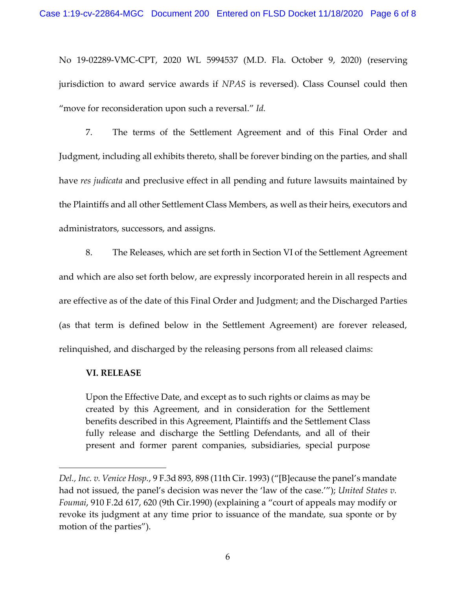No 19-02289-VMC-CPT, 2020 WL 5994537 (M.D. Fla. October 9, 2020) (reserving jurisdiction to award service awards if *NPAS* is reversed). Class Counsel could then "move for reconsideration upon such a reversal." *Id.*

7. The terms of the Settlement Agreement and of this Final Order and Judgment, including all exhibits thereto, shall be forever binding on the parties, and shall have *res judicata* and preclusive effect in all pending and future lawsuits maintained by the Plaintiffs and all other Settlement Class Members, as well as their heirs, executors and administrators, successors, and assigns.

8. The Releases, which are set forth in Section VI of the Settlement Agreement and which are also set forth below, are expressly incorporated herein in all respects and are effective as of the date of this Final Order and Judgment; and the Discharged Parties (as that term is defined below in the Settlement Agreement) are forever released, relinquished, and discharged by the releasing persons from all released claims:

## **VI. RELEASE**

Upon the Effective Date, and except as to such rights or claims as may be created by this Agreement, and in consideration for the Settlement benefits described in this Agreement, Plaintiffs and the Settlement Class fully release and discharge the Settling Defendants, and all of their present and former parent companies, subsidiaries, special purpose

*Del., Inc. v. Venice Hosp.*, 9 F.3d 893, 898 (11th Cir. 1993) ("[B]ecause the panel's mandate had not issued, the panel's decision was never the 'law of the case.'"); *United States v. Foumai*, 910 F.2d 617, 620 (9th Cir.1990) (explaining a "court of appeals may modify or revoke its judgment at any time prior to issuance of the mandate, sua sponte or by motion of the parties").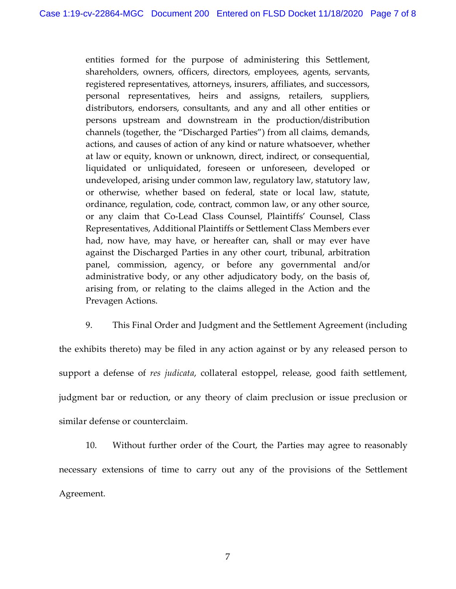entities formed for the purpose of administering this Settlement, shareholders, owners, officers, directors, employees, agents, servants, registered representatives, attorneys, insurers, affiliates, and successors, personal representatives, heirs and assigns, retailers, suppliers, distributors, endorsers, consultants, and any and all other entities or persons upstream and downstream in the production/distribution channels (together, the "Discharged Parties") from all claims, demands, actions, and causes of action of any kind or nature whatsoever, whether at law or equity, known or unknown, direct, indirect, or consequential, liquidated or unliquidated, foreseen or unforeseen, developed or undeveloped, arising under common law, regulatory law, statutory law, or otherwise, whether based on federal, state or local law, statute, ordinance, regulation, code, contract, common law, or any other source, or any claim that Co-Lead Class Counsel, Plaintiffs' Counsel, Class Representatives, Additional Plaintiffs or Settlement Class Members ever had, now have, may have, or hereafter can, shall or may ever have against the Discharged Parties in any other court, tribunal, arbitration panel, commission, agency, or before any governmental and/or administrative body, or any other adjudicatory body, on the basis of, arising from, or relating to the claims alleged in the Action and the Prevagen Actions.

9. This Final Order and Judgment and the Settlement Agreement (including the exhibits thereto) may be filed in any action against or by any released person to support a defense of *res judicata*, collateral estoppel, release, good faith settlement, judgment bar or reduction, or any theory of claim preclusion or issue preclusion or similar defense or counterclaim.

10. Without further order of the Court, the Parties may agree to reasonably necessary extensions of time to carry out any of the provisions of the Settlement Agreement.